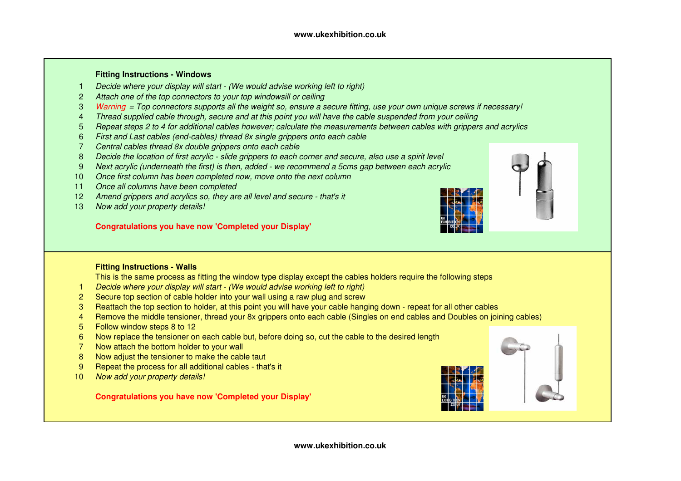#### **Fitting Instructions - Windows**

- Decide where your display will start (We would advise working left to right) 1
- 2Attach one of the top connectors to your top windowsill or ceiling
- 3Warning = Top connectors supports all the weight so, ensure a secure fitting, use your own unique screws if necessary!
- 4Thread supplied cable through, secure and at this point you will have the cable suspended from your ceiling
- 5Repeat steps 2 to 4 for additional cables however; calculate the measurements between cables with grippers and acrylics
- 6First and Last cables (end-cables) thread 8x single grippers onto each cable
- 7Central cables thread 8x double grippers onto each cable
- 8Decide the location of first acrylic - slide grippers to each corner and secure, also use a spirit level
- 9Next acrylic (underneath the first) is then, added - we recommend a 5cms gap between each acrylic
- 10 Once first column has been completed now, move onto the next column
- 11 Once all columns have been completed
- 12 Amend grippers and acrylics so, they are all level and secure that's it
- 13Now add your property details!

#### **Congratulations you have now 'Completed your Display'**



This is the same process as fitting the window type display except the cables holders require the following steps

- 1Decide where your display will start - (We would advise working left to right)
- <sup>2</sup> Secure top section of cable holder into your wall using a raw plug and screw
- 3 Reattach the top section to holder, at this point you will have your cable hanging down repeat for all other cables
- <sup>4</sup> Remove the middle tensioner, thread your 8x grippers onto each cable (Singles on end cables and Doubles on joining cables)
- 5 Follow window steps 8 to 12
- 6 Now replace the tensioner on each cable but, before doing so, cut the cable to the desired length
- 7 Now attach the bottom holder to your wall
- 8 Now adjust the tensioner to make the cable taut
- 9 Repeat the process for all additional cables that's it
- 10Now add your property details!

#### **Congratulations you have now 'Completed your Display'**





**www.ukexhibition.co.uk**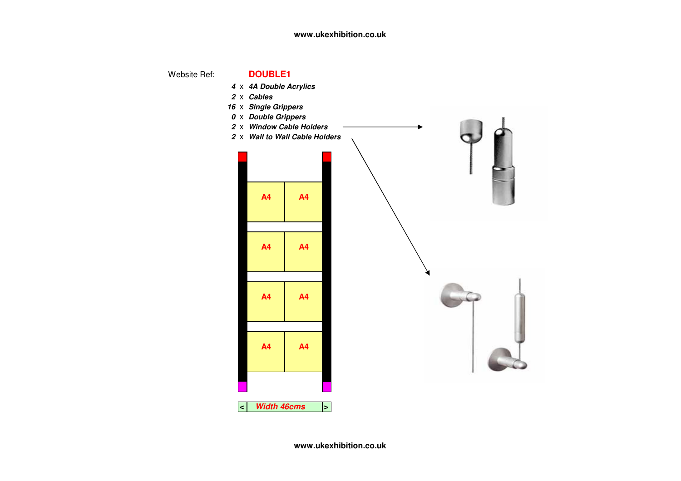# **www.ukexhibition.co.uk**

Website Ref:



**www.ukexhibition.co.uk**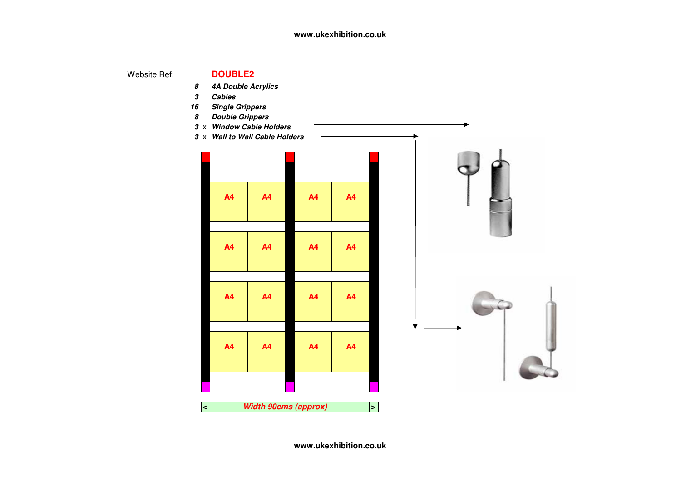## **www.ukexhibition.co.uk**

Website Ref:

## **DOUBLE2**

- **8 4A Double Acrylics**
- **3 Cables**
- **16 Single Grippers**
- **8 Double Grippers**
- **3** <sup>x</sup> **Window Cable Holders**
- **3** <sup>x</sup> **Wall to Wall Cable Holders**

| <b>A4</b>                      | <b>A4</b>                        | A <sub>4</sub> | A <sub>4</sub> |  |  |  |  |  |
|--------------------------------|----------------------------------|----------------|----------------|--|--|--|--|--|
|                                |                                  |                |                |  |  |  |  |  |
| <b>A4</b>                      | <b>A4</b>                        | A4             | A <sub>4</sub> |  |  |  |  |  |
|                                |                                  |                |                |  |  |  |  |  |
| <b>A4</b>                      | A <sub>4</sub><br>A <sub>4</sub> |                | A <sub>4</sub> |  |  |  |  |  |
|                                |                                  |                |                |  |  |  |  |  |
| <b>A4</b>                      | A <sub>4</sub>                   | A <sub>4</sub> | A <sub>4</sub> |  |  |  |  |  |
|                                |                                  |                |                |  |  |  |  |  |
|                                |                                  |                |                |  |  |  |  |  |
|                                |                                  |                |                |  |  |  |  |  |
| Width 90cms (approx)<br>$\leq$ |                                  |                |                |  |  |  |  |  |
|                                | $\mathbf{I}$                     |                |                |  |  |  |  |  |



**www.ukexhibition.co.uk**